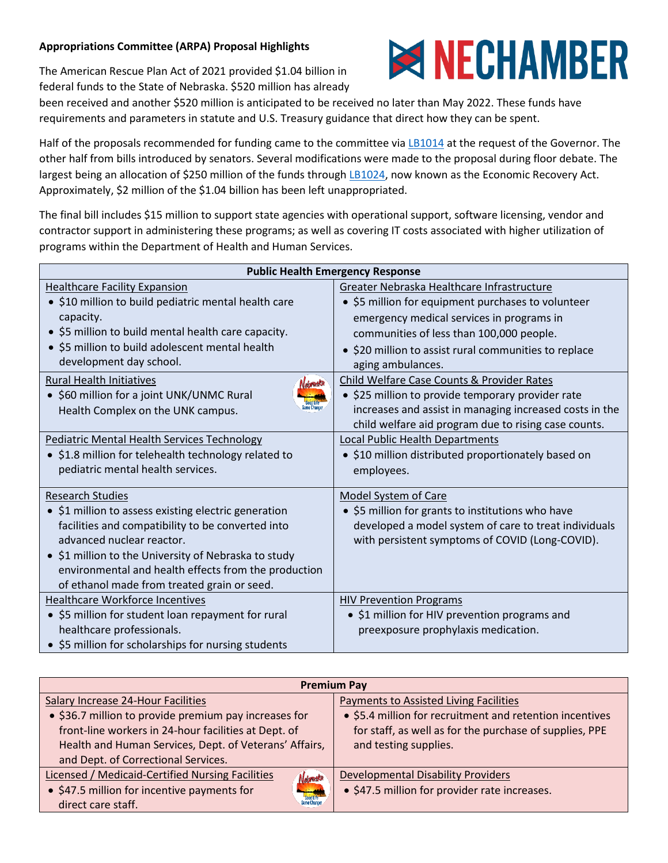## **Appropriations Committee (ARPA) Proposal Highlights**

The American Rescue Plan Act of 2021 provided \$1.04 billion in federal funds to the State of Nebraska. \$520 million has already



been received and another \$520 million is anticipated to be received no later than May 2022. These funds have requirements and parameters in statute and U.S. Treasury guidance that direct how they can be spent.

Half of the proposals recommended for funding came to the committee via [LB1014](https://nebraskalegislature.gov/bills/view_bill.php?DocumentID=47196) at the request of the Governor. The other half from bills introduced by senators. Several modifications were made to the proposal during floor debate. The largest being an allocation of \$250 million of the funds through [LB1024,](https://nebraskalegislature.gov/bills/view_bill.php?DocumentID=47459) now known as the Economic Recovery Act. Approximately, \$2 million of the \$1.04 billion has been left unappropriated.

The final bill includes \$15 million to support state agencies with operational support, software licensing, vendor and contractor support in administering these programs; as well as covering IT costs associated with higher utilization of programs within the Department of Health and Human Services.

| <b>Public Health Emergency Response</b>              |                                                         |  |
|------------------------------------------------------|---------------------------------------------------------|--|
| <b>Healthcare Facility Expansion</b>                 | Greater Nebraska Healthcare Infrastructure              |  |
| • \$10 million to build pediatric mental health care | • \$5 million for equipment purchases to volunteer      |  |
| capacity.                                            | emergency medical services in programs in               |  |
| • \$5 million to build mental health care capacity.  | communities of less than 100,000 people.                |  |
| • \$5 million to build adolescent mental health      | • \$20 million to assist rural communities to replace   |  |
| development day school.                              | aging ambulances.                                       |  |
| Rural Health Initiatives                             | Child Welfare Case Counts & Provider Rates              |  |
| • \$60 million for a joint UNK/UNMC Rural            | • \$25 million to provide temporary provider rate       |  |
| me Chano<br>Health Complex on the UNK campus.        | increases and assist in managing increased costs in the |  |
|                                                      | child welfare aid program due to rising case counts.    |  |
| Pediatric Mental Health Services Technology          | Local Public Health Departments                         |  |
| • \$1.8 million for telehealth technology related to | • \$10 million distributed proportionately based on     |  |
| pediatric mental health services.                    | employees.                                              |  |
|                                                      |                                                         |  |
| <b>Research Studies</b>                              | <b>Model System of Care</b>                             |  |
| • \$1 million to assess existing electric generation | • \$5 million for grants to institutions who have       |  |
| facilities and compatibility to be converted into    | developed a model system of care to treat individuals   |  |
| advanced nuclear reactor.                            | with persistent symptoms of COVID (Long-COVID).         |  |
| • \$1 million to the University of Nebraska to study |                                                         |  |
| environmental and health effects from the production |                                                         |  |
| of ethanol made from treated grain or seed.          |                                                         |  |
| <b>Healthcare Workforce Incentives</b>               | <b>HIV Prevention Programs</b>                          |  |
| • \$5 million for student loan repayment for rural   | • \$1 million for HIV prevention programs and           |  |
| healthcare professionals.                            | preexposure prophylaxis medication.                     |  |
| • \$5 million for scholarships for nursing students  |                                                         |  |

| <b>Premium Pay</b>                                                                       |                                                          |  |
|------------------------------------------------------------------------------------------|----------------------------------------------------------|--|
| Salary Increase 24-Hour Facilities                                                       | <b>Payments to Assisted Living Facilities</b>            |  |
| • \$36.7 million to provide premium pay increases for                                    | • \$5.4 million for recruitment and retention incentives |  |
| front-line workers in 24-hour facilities at Dept. of                                     | for staff, as well as for the purchase of supplies, PPE  |  |
| Health and Human Services, Dept. of Veterans' Affairs,                                   | and testing supplies.                                    |  |
| and Dept. of Correctional Services.                                                      |                                                          |  |
| Licensed / Medicaid-Certified Nursing Facilities<br>Nebruska                             | <b>Developmental Disability Providers</b>                |  |
| • \$47.5 million for incentive payments for<br><b>China</b><br>Cood Life<br>Game Changer | • \$47.5 million for provider rate increases.            |  |
| direct care staff.                                                                       |                                                          |  |